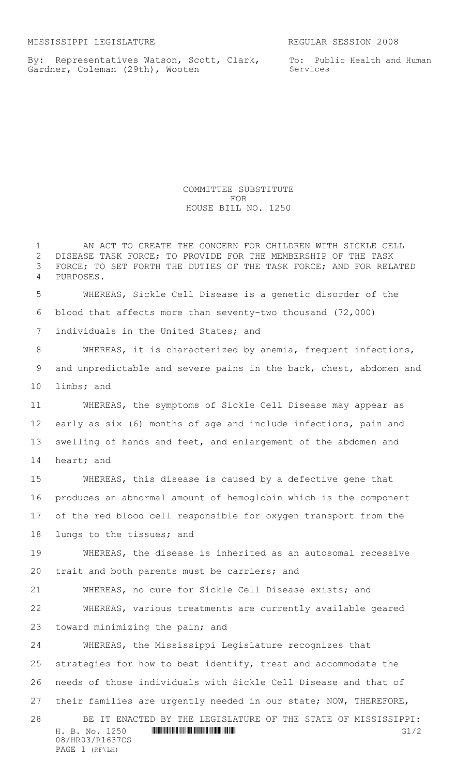08/HR03/R1637CS PAGE 1 (RF\LH)

By: Representatives Watson, Scott, Clark, Gardner, Coleman (29th), Wooten

To: Public Health and Human Services

COMMITTEE SUBSTITUTE FOR HOUSE BILL NO. 1250

H. B. No. 1250 **HROSH ROSH GIVE GIVE GIVE GIVE**  AN ACT TO CREATE THE CONCERN FOR CHILDREN WITH SICKLE CELL DISEASE TASK FORCE; TO PROVIDE FOR THE MEMBERSHIP OF THE TASK FORCE; TO SET FORTH THE DUTIES OF THE TASK FORCE; AND FOR RELATED PURPOSES. WHEREAS, Sickle Cell Disease is a genetic disorder of the blood that affects more than seventy-two thousand (72,000) individuals in the United States; and WHEREAS, it is characterized by anemia, frequent infections, and unpredictable and severe pains in the back, chest, abdomen and limbs; and WHEREAS, the symptoms of Sickle Cell Disease may appear as early as six (6) months of age and include infections, pain and swelling of hands and feet, and enlargement of the abdomen and heart; and WHEREAS, this disease is caused by a defective gene that produces an abnormal amount of hemoglobin which is the component of the red blood cell responsible for oxygen transport from the lungs to the tissues; and WHEREAS, the disease is inherited as an autosomal recessive trait and both parents must be carriers; and WHEREAS, no cure for Sickle Cell Disease exists; and WHEREAS, various treatments are currently available geared toward minimizing the pain; and WHEREAS, the Mississippi Legislature recognizes that strategies for how to best identify, treat and accommodate the needs of those individuals with Sickle Cell Disease and that of their families are urgently needed in our state; NOW, THEREFORE, BE IT ENACTED BY THE LEGISLATURE OF THE STATE OF MISSISSIPPI: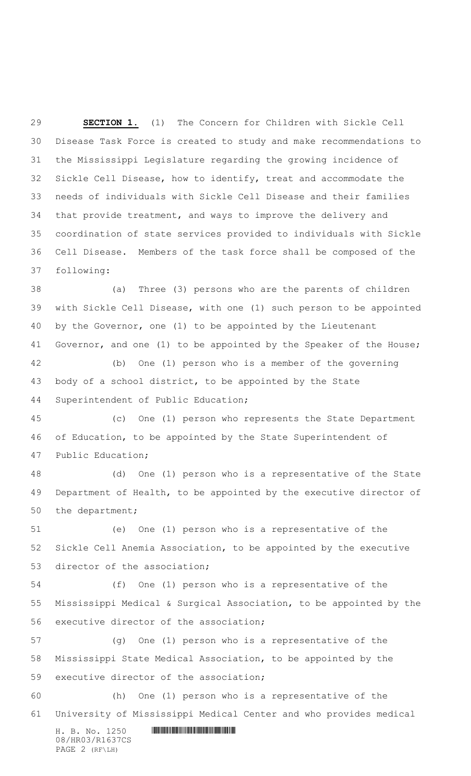**SECTION 1.** (1) The Concern for Children with Sickle Cell Disease Task Force is created to study and make recommendations to the Mississippi Legislature regarding the growing incidence of Sickle Cell Disease, how to identify, treat and accommodate the needs of individuals with Sickle Cell Disease and their families that provide treatment, and ways to improve the delivery and coordination of state services provided to individuals with Sickle Cell Disease. Members of the task force shall be composed of the following:

 (a) Three (3) persons who are the parents of children with Sickle Cell Disease, with one (1) such person to be appointed by the Governor, one (1) to be appointed by the Lieutenant 41 Governor, and one (1) to be appointed by the Speaker of the House; (b) One (1) person who is a member of the governing

 body of a school district, to be appointed by the State Superintendent of Public Education;

 (c) One (1) person who represents the State Department of Education, to be appointed by the State Superintendent of Public Education;

 (d) One (1) person who is a representative of the State Department of Health, to be appointed by the executive director of the department;

 (e) One (1) person who is a representative of the Sickle Cell Anemia Association, to be appointed by the executive director of the association;

 (f) One (1) person who is a representative of the Mississippi Medical & Surgical Association, to be appointed by the executive director of the association;

 (g) One (1) person who is a representative of the Mississippi State Medical Association, to be appointed by the executive director of the association;

 (h) One (1) person who is a representative of the University of Mississippi Medical Center and who provides medical

 $H. B. No. 1250$  . HENDIFFERENTIAL SETTING THE SETTING SETTING SETTING A SETTING SETTING SETTING SETTING SETTING SETTING SETTING SETTING SETTING SETTING SETTING SETTING SETTING SETTING SETTING SETTING SETTING SETTING SETTING 08/HR03/R1637CS PAGE 2 (RF\LH)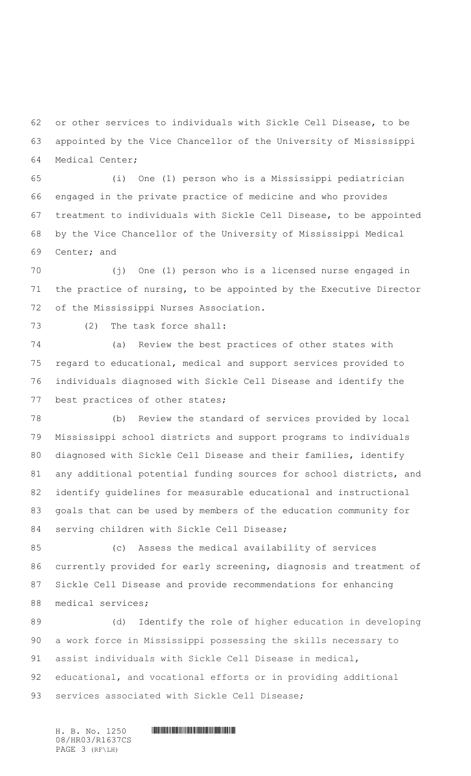or other services to individuals with Sickle Cell Disease, to be appointed by the Vice Chancellor of the University of Mississippi Medical Center;

 (i) One (1) person who is a Mississippi pediatrician engaged in the private practice of medicine and who provides treatment to individuals with Sickle Cell Disease, to be appointed by the Vice Chancellor of the University of Mississippi Medical Center; and

 (j) One (1) person who is a licensed nurse engaged in the practice of nursing, to be appointed by the Executive Director of the Mississippi Nurses Association.

(2) The task force shall:

 (a) Review the best practices of other states with regard to educational, medical and support services provided to individuals diagnosed with Sickle Cell Disease and identify the best practices of other states;

 (b) Review the standard of services provided by local Mississippi school districts and support programs to individuals diagnosed with Sickle Cell Disease and their families, identify any additional potential funding sources for school districts, and identify guidelines for measurable educational and instructional goals that can be used by members of the education community for serving children with Sickle Cell Disease;

 (c) Assess the medical availability of services currently provided for early screening, diagnosis and treatment of Sickle Cell Disease and provide recommendations for enhancing medical services;

 (d) Identify the role of higher education in developing a work force in Mississippi possessing the skills necessary to assist individuals with Sickle Cell Disease in medical, educational, and vocational efforts or in providing additional 93 services associated with Sickle Cell Disease;

08/HR03/R1637CS PAGE 3 (RF\LH)

 $H. B. No. 1250$  . HENDIFFERENTIAL SETTING THE SETTING SETTING SETTING A SETTING SETTING SETTING SETTING SETTING SETTING SETTING SETTING SETTING SETTING SETTING SETTING SETTING SETTING SETTING SETTING SETTING SETTING SETTING